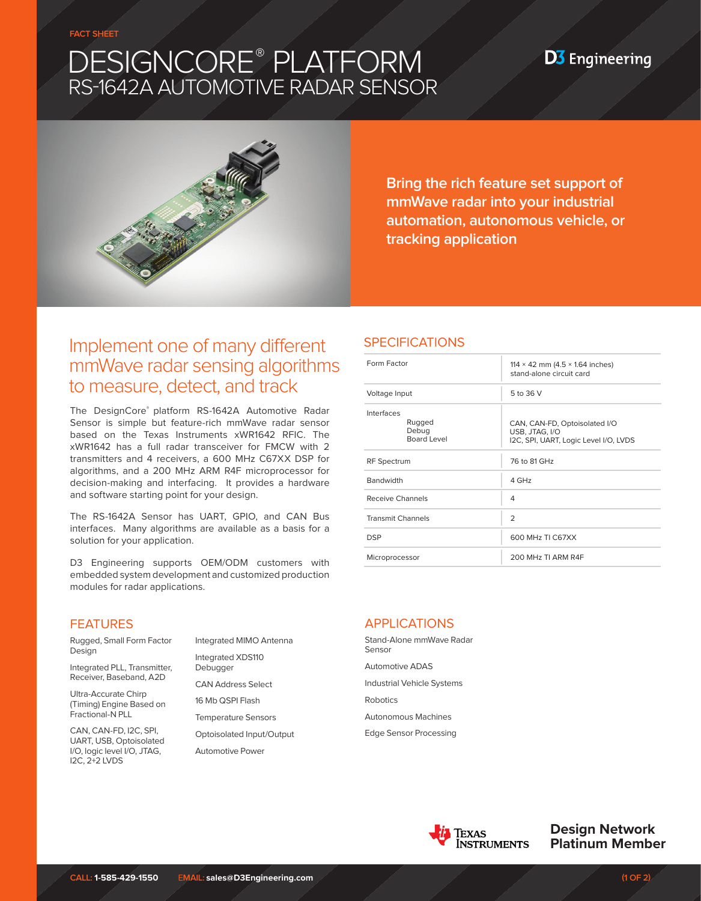# DESIGNCORE® PLATFORM RS-1642A AUTOMOTIVE RADAR SENSOR



**Bring the rich feature set support of mmWave radar into your industrial automation, autonomous vehicle, or tracking application**

**D3** Engineering

# Implement one of many different mmWave radar sensing algorithms to measure, detect, and track

The DesignCore® platform RS-1642A Automotive Radar Sensor is simple but feature-rich mmWave radar sensor based on the Texas Instruments xWR1642 RFIC. The xWR1642 has a full radar transceiver for FMCW with 2 transmitters and 4 receivers, a 600 MHz C67XX DSP for algorithms, and a 200 MHz ARM R4F microprocessor for decision-making and interfacing. It provides a hardware and software starting point for your design.

The RS-1642A Sensor has UART, GPIO, and CAN Bus interfaces. Many algorithms are available as a basis for a solution for your application.

D3 Engineering supports OEM/ODM customers with embedded system development and customized production modules for radar applications.

### SPECIFICATIONS

| Form Factor                                  | 114 $\times$ 42 mm (4.5 $\times$ 1.64 inches)<br>stand-alone circuit card                |
|----------------------------------------------|------------------------------------------------------------------------------------------|
| Voltage Input                                | 5 to 36 V                                                                                |
| Interfaces<br>Rugged<br>Debug<br>Board Level | CAN, CAN-FD, Optoisolated I/O<br>USB, JTAG, I/O<br>I2C, SPI, UART, Logic Level I/O, LVDS |
| <b>RF</b> Spectrum                           | 76 to 81 GHz                                                                             |
| <b>Bandwidth</b>                             | 4 GHz                                                                                    |
| Receive Channels                             | 4                                                                                        |
| <b>Transmit Channels</b>                     | $\overline{2}$                                                                           |
| <b>DSP</b>                                   | 600 MHz TI C67XX                                                                         |
| Microprocessor                               | 200 MHz TI ARM R4F                                                                       |
|                                              |                                                                                          |

## FEATURES

Rugged, Small Form Factor Design

Integrated PLL, Transmitter, Receiver, Baseband, A2D

Ultra-Accurate Chirp (Timing) Engine Based on Fractional-N PLL

CAN, CAN-FD, I2C, SPI, UART, USB, Optoisolated I/O, logic level I/O, JTAG, I2C, 2+2 LVDS

Integrated MIMO Antenna Integrated XDS110 Debugger

CAN Address Select

16 Mb QSPI Flash

Temperature Sensors

Optoisolated Input/Output Automotive Power

# APPLICATIONS

Stand-Alone mmWave Radar Sensor Automotive ADAS Industrial Vehicle Systems Robotics Autonomous Machines Edge Sensor Processing



**Design Network Platinum Member**